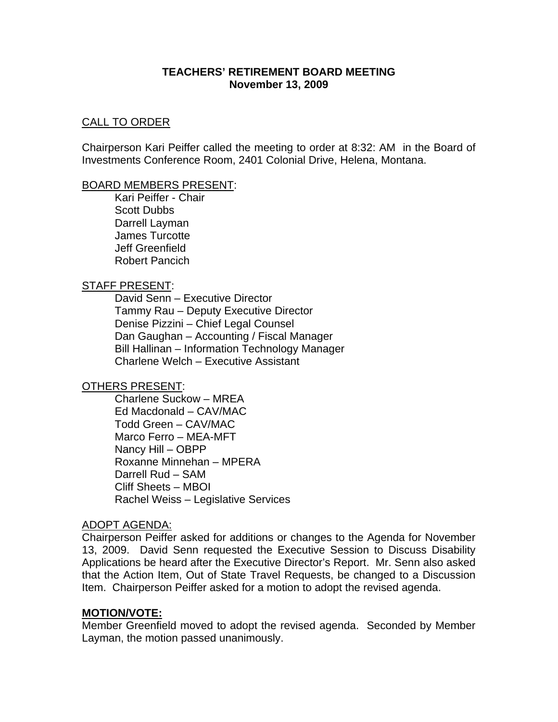### **TEACHERS' RETIREMENT BOARD MEETING November 13, 2009**

### CALL TO ORDER

Chairperson Kari Peiffer called the meeting to order at 8:32: AM in the Board of Investments Conference Room, 2401 Colonial Drive, Helena, Montana.

#### BOARD MEMBERS PRESENT:

 Kari Peiffer - Chair Scott Dubbs Darrell Layman James Turcotte Jeff Greenfield Robert Pancich

### STAFF PRESENT:

 David Senn – Executive Director Tammy Rau – Deputy Executive Director Denise Pizzini – Chief Legal Counsel Dan Gaughan – Accounting / Fiscal Manager Bill Hallinan – Information Technology Manager Charlene Welch – Executive Assistant

# OTHERS PRESENT:

 Charlene Suckow – MREA Ed Macdonald – CAV/MAC Todd Green – CAV/MAC Marco Ferro – MEA-MFT Nancy Hill – OBPP Roxanne Minnehan – MPERA Darrell Rud – SAM Cliff Sheets – MBOI Rachel Weiss – Legislative Services

# ADOPT AGENDA:

Chairperson Peiffer asked for additions or changes to the Agenda for November 13, 2009. David Senn requested the Executive Session to Discuss Disability Applications be heard after the Executive Director's Report. Mr. Senn also asked that the Action Item, Out of State Travel Requests, be changed to a Discussion Item. Chairperson Peiffer asked for a motion to adopt the revised agenda.

# **MOTION/VOTE:**

Member Greenfield moved to adopt the revised agenda. Seconded by Member Layman, the motion passed unanimously.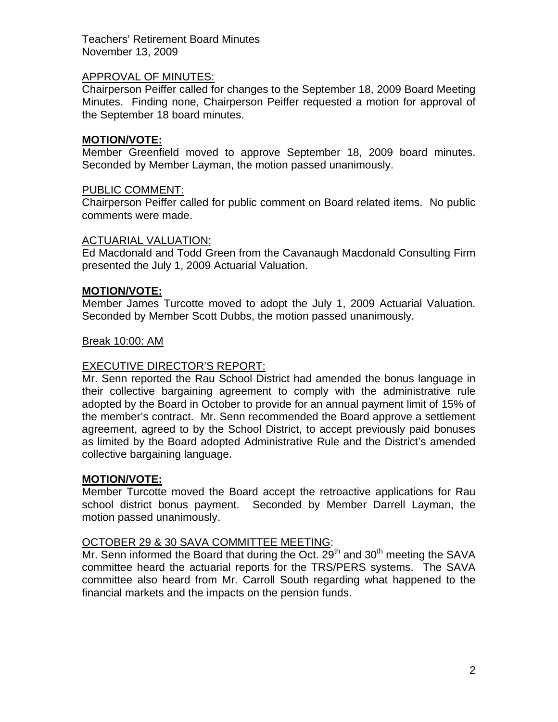### APPROVAL OF MINUTES:

Chairperson Peiffer called for changes to the September 18, 2009 Board Meeting Minutes. Finding none, Chairperson Peiffer requested a motion for approval of the September 18 board minutes.

### **MOTION/VOTE:**

Member Greenfield moved to approve September 18, 2009 board minutes. Seconded by Member Layman, the motion passed unanimously.

### PUBLIC COMMENT:

Chairperson Peiffer called for public comment on Board related items. No public comments were made.

#### ACTUARIAL VALUATION:

Ed Macdonald and Todd Green from the Cavanaugh Macdonald Consulting Firm presented the July 1, 2009 Actuarial Valuation.

### **MOTION/VOTE:**

Member James Turcotte moved to adopt the July 1, 2009 Actuarial Valuation. Seconded by Member Scott Dubbs, the motion passed unanimously.

### Break 10:00: AM

# EXECUTIVE DIRECTOR'S REPORT:

Mr. Senn reported the Rau School District had amended the bonus language in their collective bargaining agreement to comply with the administrative rule adopted by the Board in October to provide for an annual payment limit of 15% of the member's contract. Mr. Senn recommended the Board approve a settlement agreement, agreed to by the School District, to accept previously paid bonuses as limited by the Board adopted Administrative Rule and the District's amended collective bargaining language.

#### **MOTION/VOTE:**

Member Turcotte moved the Board accept the retroactive applications for Rau school district bonus payment. Seconded by Member Darrell Layman, the motion passed unanimously.

#### OCTOBER 29 & 30 SAVA COMMITTEE MEETING:

Mr. Senn informed the Board that during the Oct.  $29<sup>th</sup>$  and  $30<sup>th</sup>$  meeting the SAVA committee heard the actuarial reports for the TRS/PERS systems. The SAVA committee also heard from Mr. Carroll South regarding what happened to the financial markets and the impacts on the pension funds.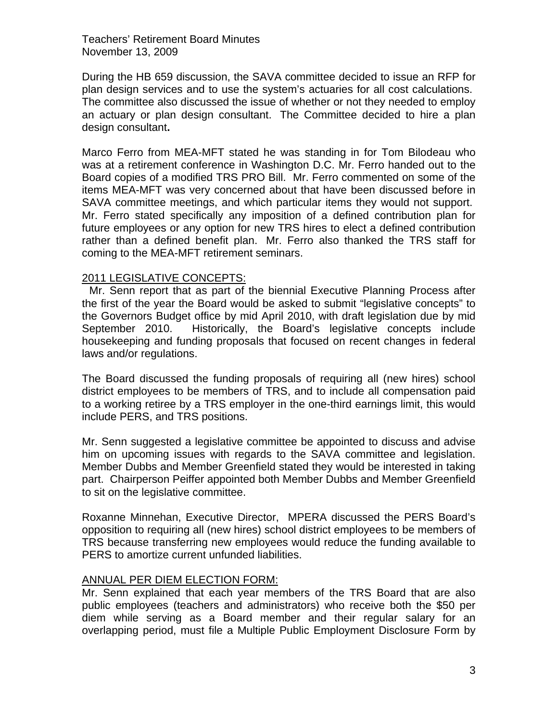During the HB 659 discussion, the SAVA committee decided to issue an RFP for plan design services and to use the system's actuaries for all cost calculations. The committee also discussed the issue of whether or not they needed to employ an actuary or plan design consultant. The Committee decided to hire a plan design consultant**.** 

Marco Ferro from MEA-MFT stated he was standing in for Tom Bilodeau who was at a retirement conference in Washington D.C. Mr. Ferro handed out to the Board copies of a modified TRS PRO Bill. Mr. Ferro commented on some of the items MEA-MFT was very concerned about that have been discussed before in SAVA committee meetings, and which particular items they would not support. Mr. Ferro stated specifically any imposition of a defined contribution plan for future employees or any option for new TRS hires to elect a defined contribution rather than a defined benefit plan. Mr. Ferro also thanked the TRS staff for coming to the MEA-MFT retirement seminars.

### 2011 LEGISLATIVE CONCEPTS:

 Mr. Senn report that as part of the biennial Executive Planning Process after the first of the year the Board would be asked to submit "legislative concepts" to the Governors Budget office by mid April 2010, with draft legislation due by mid September 2010. Historically, the Board's legislative concepts include housekeeping and funding proposals that focused on recent changes in federal laws and/or regulations.

 The Board discussed the funding proposals of requiring all (new hires) school district employees to be members of TRS, and to include all compensation paid to a working retiree by a TRS employer in the one-third earnings limit, this would include PERS, and TRS positions.

 Mr. Senn suggested a legislative committee be appointed to discuss and advise him on upcoming issues with regards to the SAVA committee and legislation. Member Dubbs and Member Greenfield stated they would be interested in taking part. Chairperson Peiffer appointed both Member Dubbs and Member Greenfield to sit on the legislative committee.

 Roxanne Minnehan, Executive Director, MPERA discussed the PERS Board's opposition to requiring all (new hires) school district employees to be members of TRS because transferring new employees would reduce the funding available to PERS to amortize current unfunded liabilities.

#### ANNUAL PER DIEM ELECTION FORM:

Mr. Senn explained that each year members of the TRS Board that are also public employees (teachers and administrators) who receive both the \$50 per diem while serving as a Board member and their regular salary for an overlapping period, must file a Multiple Public Employment Disclosure Form by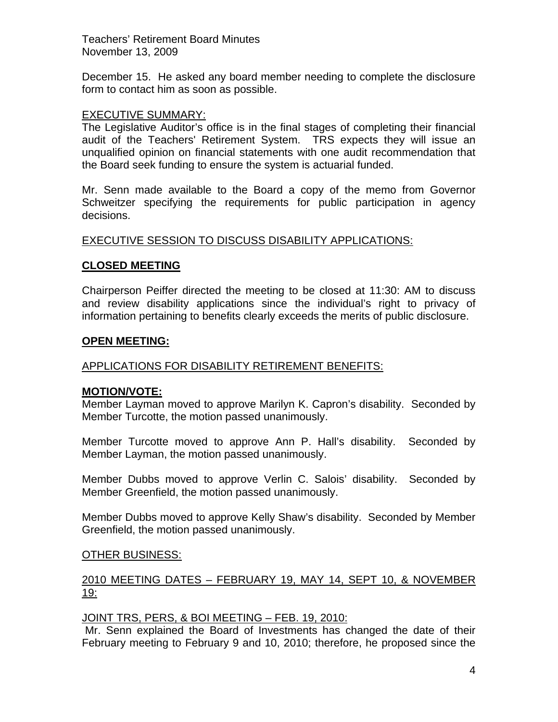December 15. He asked any board member needing to complete the disclosure form to contact him as soon as possible.

### EXECUTIVE SUMMARY:

The Legislative Auditor's office is in the final stages of completing their financial audit of the Teachers' Retirement System. TRS expects they will issue an unqualified opinion on financial statements with one audit recommendation that the Board seek funding to ensure the system is actuarial funded.

Mr. Senn made available to the Board a copy of the memo from Governor Schweitzer specifying the requirements for public participation in agency decisions.

### EXECUTIVE SESSION TO DISCUSS DISABILITY APPLICATIONS:

### **CLOSED MEETING**

Chairperson Peiffer directed the meeting to be closed at 11:30: AM to discuss and review disability applications since the individual's right to privacy of information pertaining to benefits clearly exceeds the merits of public disclosure.

#### **OPEN MEETING:**

#### APPLICATIONS FOR DISABILITY RETIREMENT BENEFITS:

#### **MOTION/VOTE:**

Member Layman moved to approve Marilyn K. Capron's disability. Seconded by Member Turcotte, the motion passed unanimously.

Member Turcotte moved to approve Ann P. Hall's disability. Seconded by Member Layman, the motion passed unanimously.

Member Dubbs moved to approve Verlin C. Salois' disability. Seconded by Member Greenfield, the motion passed unanimously.

Member Dubbs moved to approve Kelly Shaw's disability. Seconded by Member Greenfield, the motion passed unanimously.

#### OTHER BUSINESS:

# 2010 MEETING DATES – FEBRUARY 19, MAY 14, SEPT 10, & NOVEMBER 19:

#### JOINT TRS, PERS, & BOI MEETING – FEB. 19, 2010:

 Mr. Senn explained the Board of Investments has changed the date of their February meeting to February 9 and 10, 2010; therefore, he proposed since the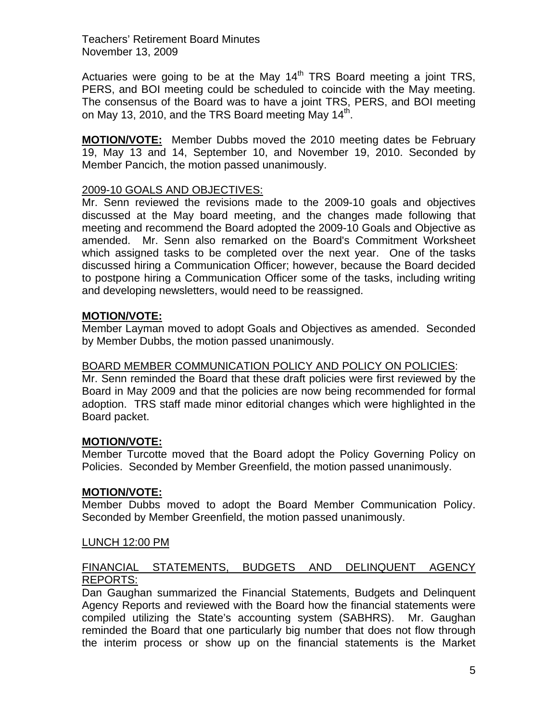Actuaries were going to be at the May  $14<sup>th</sup> TRS$  Board meeting a joint TRS, PERS, and BOI meeting could be scheduled to coincide with the May meeting. The consensus of the Board was to have a joint TRS, PERS, and BOI meeting on May 13, 2010, and the TRS Board meeting May  $14^{\text{th}}$ .

**MOTION/VOTE:** Member Dubbs moved the 2010 meeting dates be February 19, May 13 and 14, September 10, and November 19, 2010. Seconded by Member Pancich, the motion passed unanimously.

# 2009-10 GOALS AND OBJECTIVES:

 Mr. Senn reviewed the revisions made to the 2009-10 goals and objectives discussed at the May board meeting, and the changes made following that meeting and recommend the Board adopted the 2009-10 Goals and Objective as amended. Mr. Senn also remarked on the Board's Commitment Worksheet which assigned tasks to be completed over the next year. One of the tasks discussed hiring a Communication Officer; however, because the Board decided to postpone hiring a Communication Officer some of the tasks, including writing and developing newsletters, would need to be reassigned.

# **MOTION/VOTE:**

Member Layman moved to adopt Goals and Objectives as amended. Seconded by Member Dubbs, the motion passed unanimously.

# BOARD MEMBER COMMUNICATION POLICY AND POLICY ON POLICIES:

Mr. Senn reminded the Board that these draft policies were first reviewed by the Board in May 2009 and that the policies are now being recommended for formal adoption. TRS staff made minor editorial changes which were highlighted in the Board packet.

# **MOTION/VOTE:**

Member Turcotte moved that the Board adopt the Policy Governing Policy on Policies. Seconded by Member Greenfield, the motion passed unanimously.

# **MOTION/VOTE:**

Member Dubbs moved to adopt the Board Member Communication Policy. Seconded by Member Greenfield, the motion passed unanimously.

# LUNCH 12:00 PM

# FINANCIAL STATEMENTS, BUDGETS AND DELINQUENT AGENCY REPORTS:

Dan Gaughan summarized the Financial Statements, Budgets and Delinquent Agency Reports and reviewed with the Board how the financial statements were compiled utilizing the State's accounting system (SABHRS). Mr. Gaughan reminded the Board that one particularly big number that does not flow through the interim process or show up on the financial statements is the Market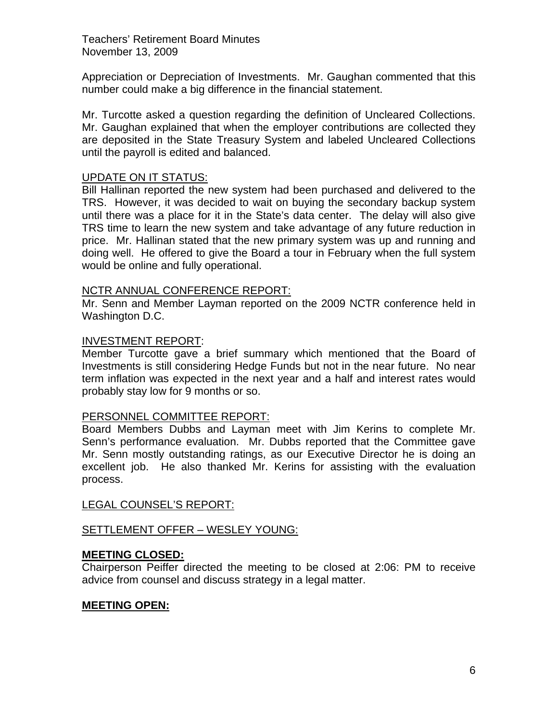Appreciation or Depreciation of Investments. Mr. Gaughan commented that this number could make a big difference in the financial statement.

Mr. Turcotte asked a question regarding the definition of Uncleared Collections. Mr. Gaughan explained that when the employer contributions are collected they are deposited in the State Treasury System and labeled Uncleared Collections until the payroll is edited and balanced.

### UPDATE ON IT STATUS:

Bill Hallinan reported the new system had been purchased and delivered to the TRS. However, it was decided to wait on buying the secondary backup system until there was a place for it in the State's data center. The delay will also give TRS time to learn the new system and take advantage of any future reduction in price. Mr. Hallinan stated that the new primary system was up and running and doing well. He offered to give the Board a tour in February when the full system would be online and fully operational.

#### NCTR ANNUAL CONFERENCE REPORT:

Mr. Senn and Member Layman reported on the 2009 NCTR conference held in Washington D.C.

# INVESTMENT REPORT:

Member Turcotte gave a brief summary which mentioned that the Board of Investments is still considering Hedge Funds but not in the near future. No near term inflation was expected in the next year and a half and interest rates would probably stay low for 9 months or so.

#### PERSONNEL COMMITTEE REPORT:

Board Members Dubbs and Layman meet with Jim Kerins to complete Mr. Senn's performance evaluation. Mr. Dubbs reported that the Committee gave Mr. Senn mostly outstanding ratings, as our Executive Director he is doing an excellent job. He also thanked Mr. Kerins for assisting with the evaluation process.

LEGAL COUNSEL'S REPORT:

# SETTLEMENT OFFER – WESLEY YOUNG:

# **MEETING CLOSED:**

Chairperson Peiffer directed the meeting to be closed at 2:06: PM to receive advice from counsel and discuss strategy in a legal matter.

# **MEETING OPEN:**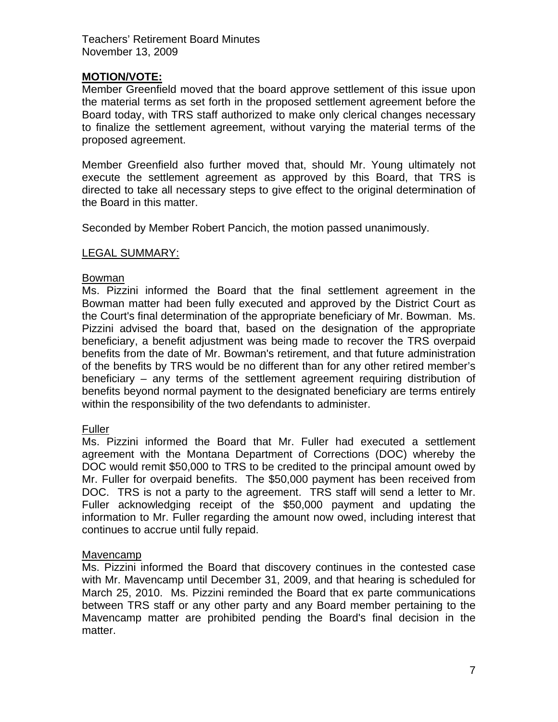# **MOTION/VOTE:**

Member Greenfield moved that the board approve settlement of this issue upon the material terms as set forth in the proposed settlement agreement before the Board today, with TRS staff authorized to make only clerical changes necessary to finalize the settlement agreement, without varying the material terms of the proposed agreement.

Member Greenfield also further moved that, should Mr. Young ultimately not execute the settlement agreement as approved by this Board, that TRS is directed to take all necessary steps to give effect to the original determination of the Board in this matter.

Seconded by Member Robert Pancich, the motion passed unanimously.

# LEGAL SUMMARY:

### Bowman

Ms. Pizzini informed the Board that the final settlement agreement in the Bowman matter had been fully executed and approved by the District Court as the Court's final determination of the appropriate beneficiary of Mr. Bowman. Ms. Pizzini advised the board that, based on the designation of the appropriate beneficiary, a benefit adjustment was being made to recover the TRS overpaid benefits from the date of Mr. Bowman's retirement, and that future administration of the benefits by TRS would be no different than for any other retired member's beneficiary – any terms of the settlement agreement requiring distribution of benefits beyond normal payment to the designated beneficiary are terms entirely within the responsibility of the two defendants to administer.

# Fuller

Ms. Pizzini informed the Board that Mr. Fuller had executed a settlement agreement with the Montana Department of Corrections (DOC) whereby the DOC would remit \$50,000 to TRS to be credited to the principal amount owed by Mr. Fuller for overpaid benefits. The \$50,000 payment has been received from DOC. TRS is not a party to the agreement. TRS staff will send a letter to Mr. Fuller acknowledging receipt of the \$50,000 payment and updating the information to Mr. Fuller regarding the amount now owed, including interest that continues to accrue until fully repaid.

#### Mavencamp

Ms. Pizzini informed the Board that discovery continues in the contested case with Mr. Mavencamp until December 31, 2009, and that hearing is scheduled for March 25, 2010. Ms. Pizzini reminded the Board that ex parte communications between TRS staff or any other party and any Board member pertaining to the Mavencamp matter are prohibited pending the Board's final decision in the matter.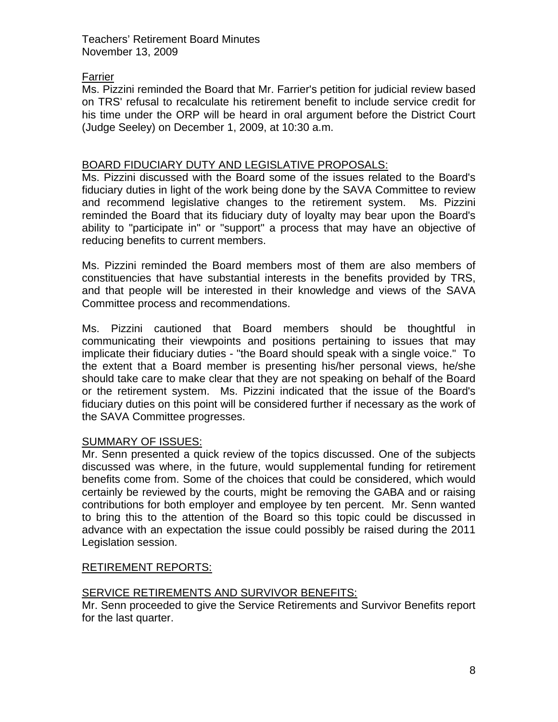# Farrier

Ms. Pizzini reminded the Board that Mr. Farrier's petition for judicial review based on TRS' refusal to recalculate his retirement benefit to include service credit for his time under the ORP will be heard in oral argument before the District Court (Judge Seeley) on December 1, 2009, at 10:30 a.m.

# BOARD FIDUCIARY DUTY AND LEGISLATIVE PROPOSALS:

Ms. Pizzini discussed with the Board some of the issues related to the Board's fiduciary duties in light of the work being done by the SAVA Committee to review and recommend legislative changes to the retirement system. Ms. Pizzini reminded the Board that its fiduciary duty of loyalty may bear upon the Board's ability to "participate in" or "support" a process that may have an objective of reducing benefits to current members.

Ms. Pizzini reminded the Board members most of them are also members of constituencies that have substantial interests in the benefits provided by TRS, and that people will be interested in their knowledge and views of the SAVA Committee process and recommendations.

Ms. Pizzini cautioned that Board members should be thoughtful in communicating their viewpoints and positions pertaining to issues that may implicate their fiduciary duties - "the Board should speak with a single voice." To the extent that a Board member is presenting his/her personal views, he/she should take care to make clear that they are not speaking on behalf of the Board or the retirement system. Ms. Pizzini indicated that the issue of the Board's fiduciary duties on this point will be considered further if necessary as the work of the SAVA Committee progresses.

# SUMMARY OF ISSUES:

Mr. Senn presented a quick review of the topics discussed. One of the subjects discussed was where, in the future, would supplemental funding for retirement benefits come from. Some of the choices that could be considered, which would certainly be reviewed by the courts, might be removing the GABA and or raising contributions for both employer and employee by ten percent. Mr. Senn wanted to bring this to the attention of the Board so this topic could be discussed in advance with an expectation the issue could possibly be raised during the 2011 Legislation session.

# RETIREMENT REPORTS:

# SERVICE RETIREMENTS AND SURVIVOR BENEFITS:

Mr. Senn proceeded to give the Service Retirements and Survivor Benefits report for the last quarter.